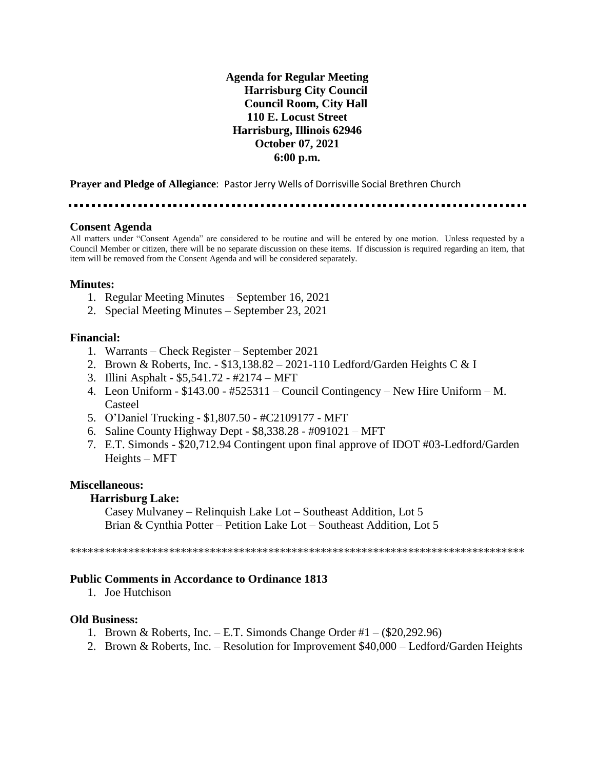# **Agenda for Regular Meeting Harrisburg City Council Council Room, City Hall 110 E. Locust Street Harrisburg, Illinois 62946 October 07, 2021 6:00 p.m.**

**Prayer and Pledge of Allegiance**: Pastor Jerry Wells of Dorrisville Social Brethren Church

### **Consent Agenda**

All matters under "Consent Agenda" are considered to be routine and will be entered by one motion. Unless requested by a Council Member or citizen, there will be no separate discussion on these items. If discussion is required regarding an item, that item will be removed from the Consent Agenda and will be considered separately.

### **Minutes:**

- 1. Regular Meeting Minutes September 16, 2021
- 2. Special Meeting Minutes September 23, 2021

### **Financial:**

- 1. Warrants Check Register September 2021
- 2. Brown & Roberts, Inc. \$13,138.82 2021-110 Ledford/Garden Heights C & I
- 3. Illini Asphalt \$5,541.72 #2174 MFT
- 4. Leon Uniform \$143.00 #525311 Council Contingency New Hire Uniform M. Casteel
- 5. O'Daniel Trucking \$1,807.50 #C2109177 MFT
- 6. Saline County Highway Dept \$8,338.28 #091021 MFT
- 7. E.T. Simonds \$20,712.94 Contingent upon final approve of IDOT #03-Ledford/Garden Heights – MFT

#### **Miscellaneous:**

#### **Harrisburg Lake:**

Casey Mulvaney – Relinquish Lake Lot – Southeast Addition, Lot 5 Brian & Cynthia Potter – Petition Lake Lot – Southeast Addition, Lot 5

\*\*\*\*\*\*\*\*\*\*\*\*\*\*\*\*\*\*\*\*\*\*\*\*\*\*\*\*\*\*\*\*\*\*\*\*\*\*\*\*\*\*\*\*\*\*\*\*\*\*\*\*\*\*\*\*\*\*\*\*\*\*\*\*\*\*\*\*\*\*\*\*\*\*\*\*\*\*

#### **Public Comments in Accordance to Ordinance 1813**

1. Joe Hutchison

### **Old Business:**

- 1. Brown & Roberts, Inc. E.T. Simonds Change Order  $#1 ($20,292.96)$
- 2. Brown & Roberts, Inc. Resolution for Improvement \$40,000 Ledford/Garden Heights